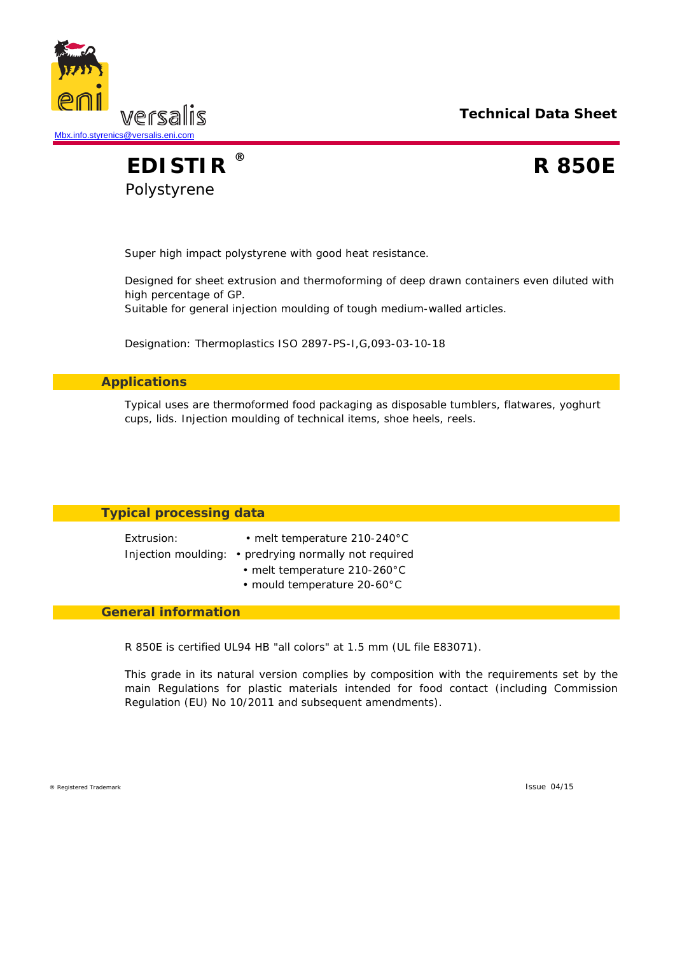**Technical Data Sheet**



**EDISTIR R 850E** Polystyrene **®**

Super high impact polystyrene with good heat resistance.

Designed for sheet extrusion and thermoforming of deep drawn containers even diluted with high percentage of GP.

Suitable for general injection moulding of tough medium-walled articles.

Designation: Thermoplastics ISO 2897-PS-I,G,093-03-10-18

### **Applications**

Typical uses are thermoformed food packaging as disposable tumblers, flatwares, yoghurt cups, lids. Injection moulding of technical items, shoe heels, reels.

## **Typical processing data**

Injection moulding: • predrying normally not required

- Extrusion: melt temperature 210-240°C
	-
	- melt temperature 210-260°C
	- mould temperature 20-60°C

#### **General information**

R 850E is certified UL94 HB "all colors" at 1.5 mm (UL file E83071).

This grade in its natural version complies by composition with the requirements set by the main Regulations for plastic materials intended for food contact (including Commission Regulation (EU) No 10/2011 and subsequent amendments).